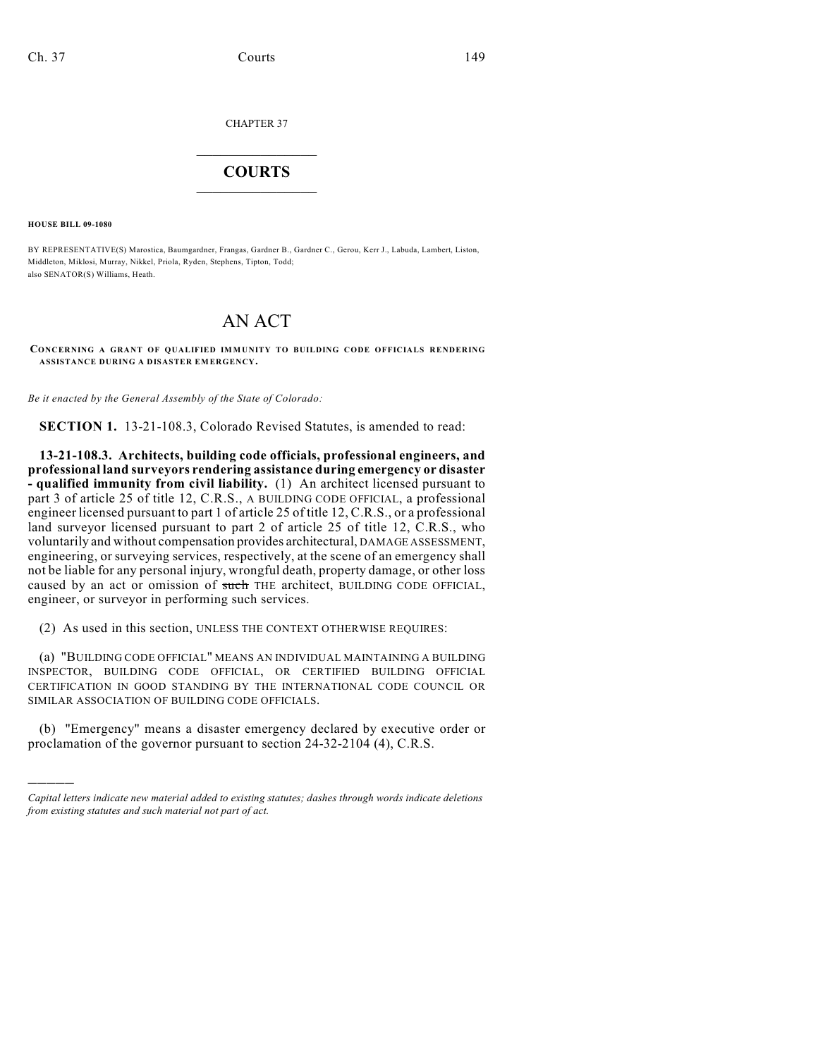CHAPTER 37

## $\mathcal{L}_\text{max}$  . The set of the set of the set of the set of the set of the set of the set of the set of the set of the set of the set of the set of the set of the set of the set of the set of the set of the set of the set **COURTS**  $\_$   $\_$   $\_$   $\_$   $\_$   $\_$   $\_$   $\_$

**HOUSE BILL 09-1080**

)))))

BY REPRESENTATIVE(S) Marostica, Baumgardner, Frangas, Gardner B., Gardner C., Gerou, Kerr J., Labuda, Lambert, Liston, Middleton, Miklosi, Murray, Nikkel, Priola, Ryden, Stephens, Tipton, Todd; also SENATOR(S) Williams, Heath.

## AN ACT

**CONCERNING A GRANT OF QUALIFIED IMMUNITY TO BUILDING CODE OFFICIALS RENDERING ASSISTANCE DURING A DISASTER EMERGENCY.**

*Be it enacted by the General Assembly of the State of Colorado:*

**SECTION 1.** 13-21-108.3, Colorado Revised Statutes, is amended to read:

**13-21-108.3. Architects, building code officials, professional engineers, and professional land surveyors rendering assistance during emergency or disaster - qualified immunity from civil liability.** (1) An architect licensed pursuant to part 3 of article 25 of title 12, C.R.S., A BUILDING CODE OFFICIAL, a professional engineer licensed pursuant to part 1 of article 25 of title 12, C.R.S., or a professional land surveyor licensed pursuant to part 2 of article 25 of title 12, C.R.S., who voluntarily and without compensation provides architectural, DAMAGE ASSESSMENT, engineering, or surveying services, respectively, at the scene of an emergency shall not be liable for any personal injury, wrongful death, property damage, or other loss caused by an act or omission of such THE architect, BUILDING CODE OFFICIAL, engineer, or surveyor in performing such services.

(2) As used in this section, UNLESS THE CONTEXT OTHERWISE REQUIRES:

(a) "BUILDING CODE OFFICIAL" MEANS AN INDIVIDUAL MAINTAINING A BUILDING INSPECTOR, BUILDING CODE OFFICIAL, OR CERTIFIED BUILDING OFFICIAL CERTIFICATION IN GOOD STANDING BY THE INTERNATIONAL CODE COUNCIL OR SIMILAR ASSOCIATION OF BUILDING CODE OFFICIALS.

(b) "Emergency" means a disaster emergency declared by executive order or proclamation of the governor pursuant to section 24-32-2104 (4), C.R.S.

*Capital letters indicate new material added to existing statutes; dashes through words indicate deletions from existing statutes and such material not part of act.*